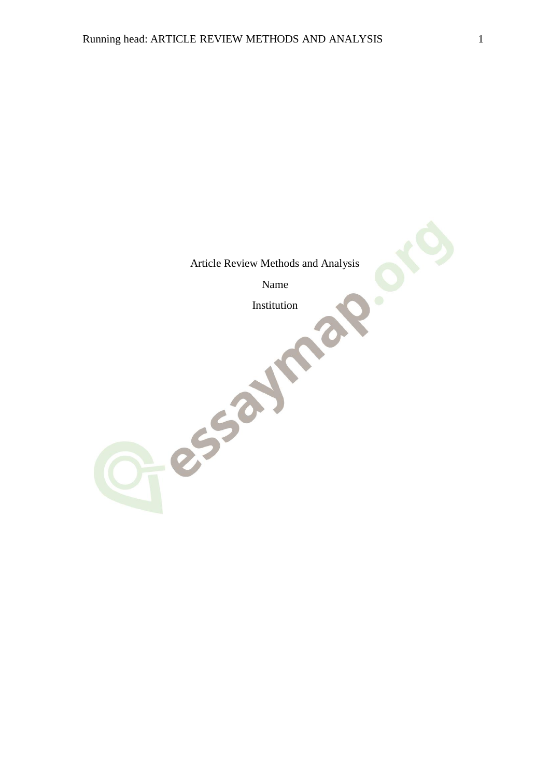Article Review Methods and Analysis

Name

Jesual Mal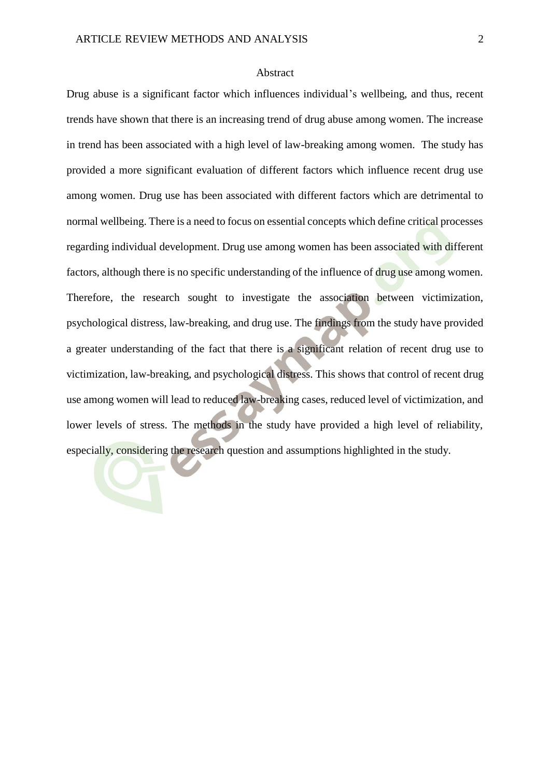#### Abstract

Drug abuse is a significant factor which influences individual's wellbeing, and thus, recent trends have shown that there is an increasing trend of drug abuse among women. The increase in trend has been associated with a high level of law-breaking among women. The study has provided a more significant evaluation of different factors which influence recent drug use among women. Drug use has been associated with different factors which are detrimental to normal wellbeing. There is a need to focus on essential concepts which define critical processes regarding individual development. Drug use among women has been associated with different factors, although there is no specific understanding of the influence of drug use among women. Therefore, the research sought to investigate the association between victimization, psychological distress, law-breaking, and drug use. The findings from the study have provided a greater understanding of the fact that there is a significant relation of recent drug use to victimization, law-breaking, and psychological distress. This shows that control of recent drug use among women will lead to reduced law-breaking cases, reduced level of victimization, and lower levels of stress. The methods in the study have provided a high level of reliability, especially, considering the research question and assumptions highlighted in the study.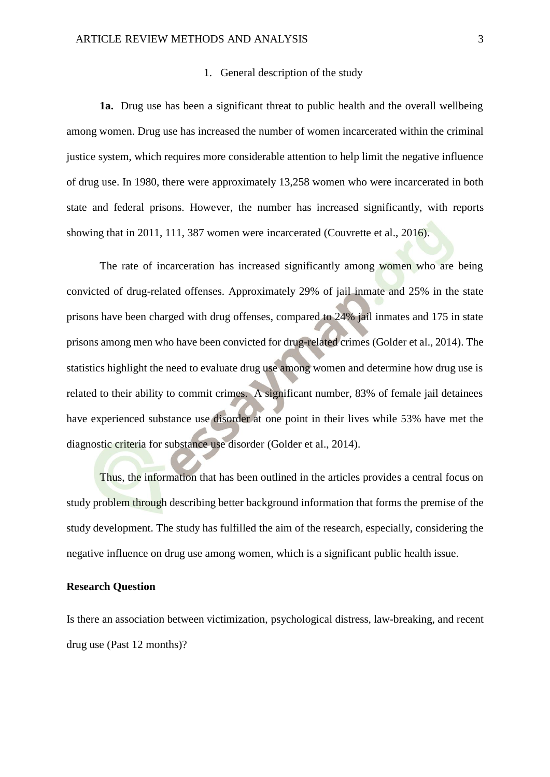#### 1. General description of the study

**1a.** Drug use has been a significant threat to public health and the overall wellbeing among women. Drug use has increased the number of women incarcerated within the criminal justice system, which requires more considerable attention to help limit the negative influence of drug use. In 1980, there were approximately 13,258 women who were incarcerated in both state and federal prisons. However, the number has increased significantly, with reports showing that in 2011, 111, 387 women were incarcerated (Couvrette et al., 2016).

The rate of incarceration has increased significantly among women who are being convicted of drug-related offenses. Approximately 29% of jail inmate and 25% in the state prisons have been charged with drug offenses, compared to 24% jail inmates and 175 in state prisons among men who have been convicted for drug-related crimes (Golder et al., 2014). The statistics highlight the need to evaluate drug use among women and determine how drug use is related to their ability to commit crimes. A significant number, 83% of female jail detainees have experienced substance use disorder at one point in their lives while 53% have met the diagnostic criteria for substance use disorder (Golder et al., 2014).

Thus, the information that has been outlined in the articles provides a central focus on study problem through describing better background information that forms the premise of the study development. The study has fulfilled the aim of the research, especially, considering the negative influence on drug use among women, which is a significant public health issue.

#### **Research Question**

Is there an association between victimization, psychological distress, law-breaking, and recent drug use (Past 12 months)?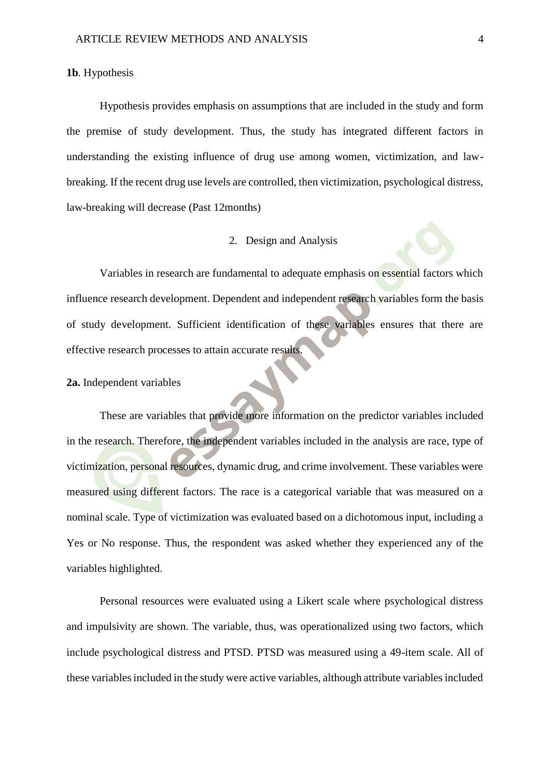## **1b**. Hypothesis

Hypothesis provides emphasis on assumptions that are included in the study and form the premise of study development. Thus, the study has integrated different factors in understanding the existing influence of drug use among women, victimization, and lawbreaking. If the recent drug use levels are controlled, then victimization, psychological distress, law-breaking will decrease (Past 12months)

## 2. Design and Analysis

Variables in research are fundamental to adequate emphasis on essential factors which influence research development. Dependent and independent research variables form the basis of study development. Sufficient identification of these variables ensures that there are effective research processes to attain accurate results.

### **2a.** Independent variables

These are variables that provide more information on the predictor variables included in the research. Therefore, the independent variables included in the analysis are race, type of victimization, personal resources, dynamic drug, and crime involvement. These variables were measured using different factors. The race is a categorical variable that was measured on a nominal scale. Type of victimization was evaluated based on a dichotomous input, including a Yes or No response. Thus, the respondent was asked whether they experienced any of the variables highlighted.

Personal resources were evaluated using a Likert scale where psychological distress and impulsivity are shown. The variable, thus, was operationalized using two factors, which include psychological distress and PTSD. PTSD was measured using a 49-item scale. All of these variables included in the study were active variables, although attribute variables included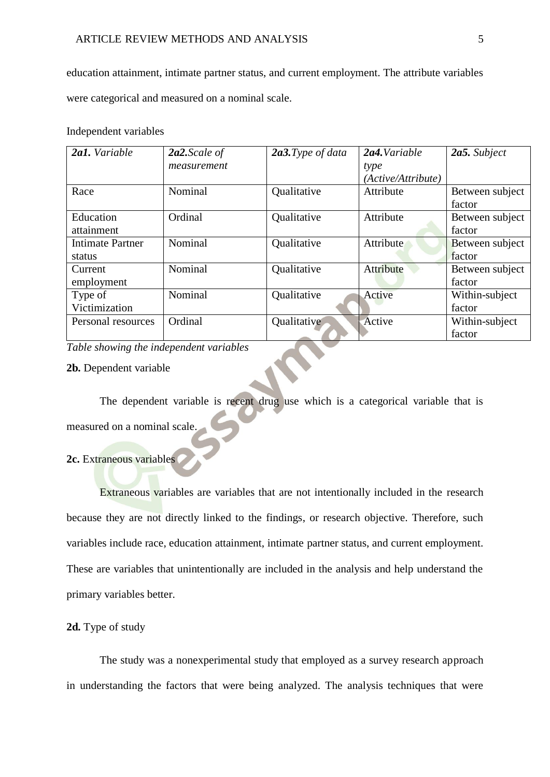education attainment, intimate partner status, and current employment. The attribute variables were categorical and measured on a nominal scale.

#### Independent variables

| 2a1. Variable           | $2a2$ . Scale of | 2a3. Type of data | $2a4$ . Variable   | 2a5. Subject    |
|-------------------------|------------------|-------------------|--------------------|-----------------|
|                         | measurement      |                   | type               |                 |
|                         |                  |                   | (Active/Attribute) |                 |
| Race                    | Nominal          | Qualitative       | Attribute          | Between subject |
|                         |                  |                   |                    | factor          |
| Education               | Ordinal          | Qualitative       | Attribute          | Between subject |
| attainment              |                  |                   |                    | factor          |
| <b>Intimate Partner</b> | Nominal          | Qualitative       | Attribute          | Between subject |
| status                  |                  |                   |                    | factor          |
| Current                 | Nominal          | Qualitative       | Attribute          | Between subject |
| employment              |                  |                   |                    | factor          |
| Type of                 | Nominal          | Qualitative       | Active             | Within-subject  |
| Victimization           |                  |                   |                    | factor          |
| Personal resources      | Ordinal          | Qualitative       | Active             | Within-subject  |
|                         |                  |                   |                    | factor          |

*Table showing the independent variables*

## **2b.** Dependent variable

The dependent variable is recent drug use which is a categorical variable that is measured on a nominal scale.

# **2c.** Extraneous variables

Extraneous variables are variables that are not intentionally included in the research because they are not directly linked to the findings, or research objective. Therefore, such variables include race, education attainment, intimate partner status, and current employment. These are variables that unintentionally are included in the analysis and help understand the primary variables better.

## **2d.** Type of study

The study was a nonexperimental study that employed as a survey research approach in understanding the factors that were being analyzed. The analysis techniques that were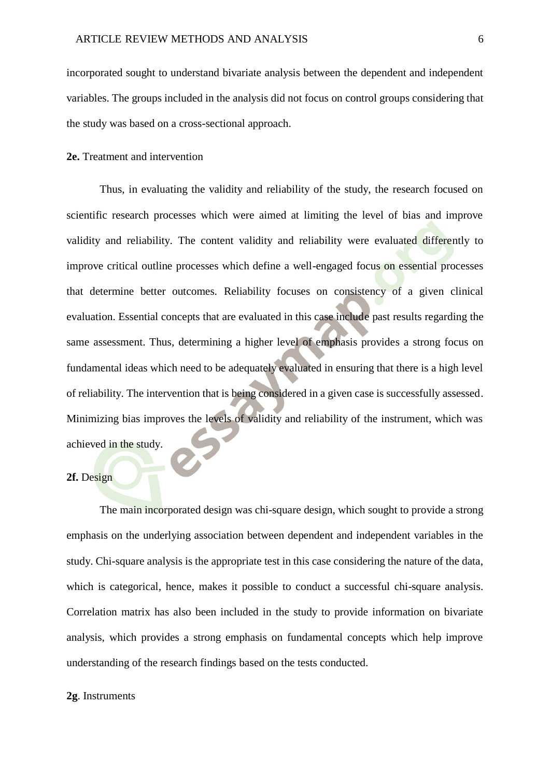incorporated sought to understand bivariate analysis between the dependent and independent variables. The groups included in the analysis did not focus on control groups considering that the study was based on a cross-sectional approach.

## **2e.** Treatment and intervention

Thus, in evaluating the validity and reliability of the study, the research focused on scientific research processes which were aimed at limiting the level of bias and improve validity and reliability. The content validity and reliability were evaluated differently to improve critical outline processes which define a well-engaged focus on essential processes that determine better outcomes. Reliability focuses on consistency of a given clinical evaluation. Essential concepts that are evaluated in this case include past results regarding the same assessment. Thus, determining a higher level of emphasis provides a strong focus on fundamental ideas which need to be adequately evaluated in ensuring that there is a high level of reliability. The intervention that is being considered in a given case is successfully assessed. Minimizing bias improves the levels of validity and reliability of the instrument, which was achieved in the study.

## **2f.** Design

The main incorporated design was chi-square design, which sought to provide a strong emphasis on the underlying association between dependent and independent variables in the study. Chi-square analysis is the appropriate test in this case considering the nature of the data, which is categorical, hence, makes it possible to conduct a successful chi-square analysis. Correlation matrix has also been included in the study to provide information on bivariate analysis, which provides a strong emphasis on fundamental concepts which help improve understanding of the research findings based on the tests conducted.

#### **2g**. Instruments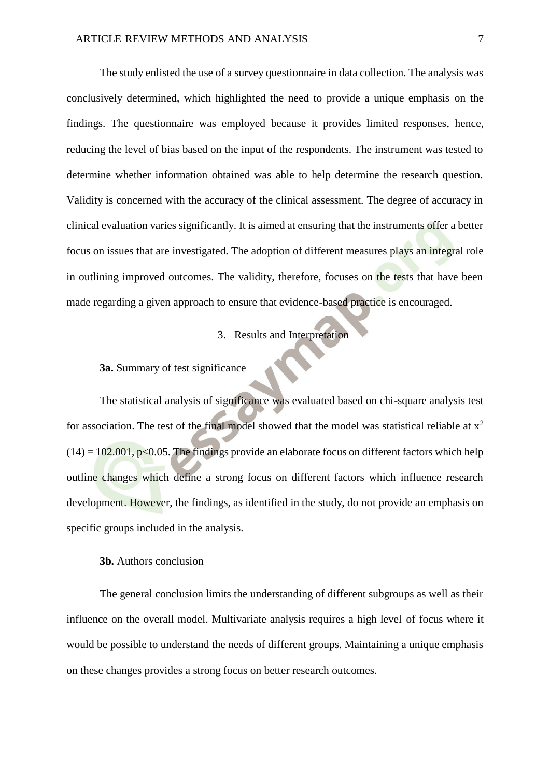The study enlisted the use of a survey questionnaire in data collection. The analysis was conclusively determined, which highlighted the need to provide a unique emphasis on the findings. The questionnaire was employed because it provides limited responses, hence, reducing the level of bias based on the input of the respondents. The instrument was tested to determine whether information obtained was able to help determine the research question. Validity is concerned with the accuracy of the clinical assessment. The degree of accuracy in clinical evaluation varies significantly. It is aimed at ensuring that the instruments offer a better focus on issues that are investigated. The adoption of different measures plays an integral role in outlining improved outcomes. The validity, therefore, focuses on the tests that have been made regarding a given approach to ensure that evidence-based practice is encouraged.

# 3. Results and Interpretation

# **3a.** Summary of test significance

The statistical analysis of significance was evaluated based on chi-square analysis test for association. The test of the final model showed that the model was statistical reliable at  $x^2$  $(14) = 102.001$ , p<0.05. The findings provide an elaborate focus on different factors which help outline changes which define a strong focus on different factors which influence research development. However, the findings, as identified in the study, do not provide an emphasis on specific groups included in the analysis.

# **3b.** Authors conclusion

The general conclusion limits the understanding of different subgroups as well as their influence on the overall model. Multivariate analysis requires a high level of focus where it would be possible to understand the needs of different groups. Maintaining a unique emphasis on these changes provides a strong focus on better research outcomes.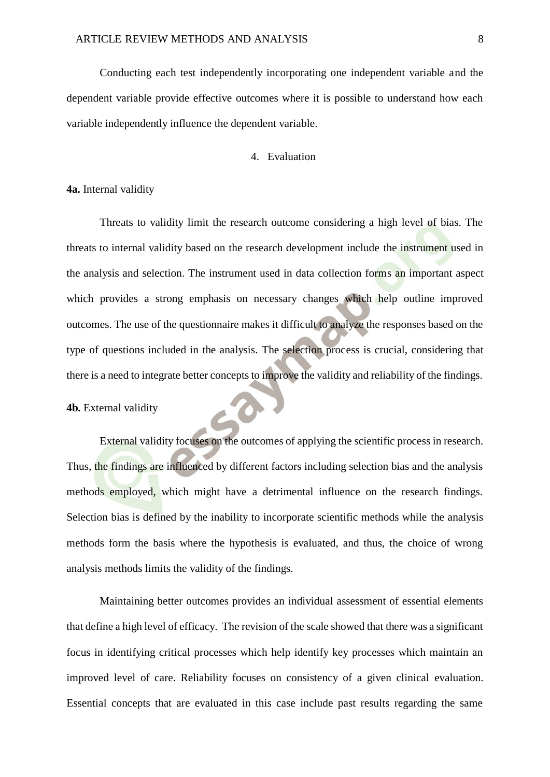Conducting each test independently incorporating one independent variable and the dependent variable provide effective outcomes where it is possible to understand how each variable independently influence the dependent variable.

# 4. Evaluation

## **4a.** Internal validity

Threats to validity limit the research outcome considering a high level of bias. The threats to internal validity based on the research development include the instrument used in the analysis and selection. The instrument used in data collection forms an important aspect which provides a strong emphasis on necessary changes which help outline improved outcomes. The use of the questionnaire makes it difficult to analyze the responses based on the type of questions included in the analysis. The selection process is crucial, considering that there is a need to integrate better concepts to improve the validity and reliability of the findings.

## **4b.** External validity

External validity focuses on the outcomes of applying the scientific process in research. Thus, the findings are influenced by different factors including selection bias and the analysis methods employed, which might have a detrimental influence on the research findings. Selection bias is defined by the inability to incorporate scientific methods while the analysis methods form the basis where the hypothesis is evaluated, and thus, the choice of wrong analysis methods limits the validity of the findings.

Maintaining better outcomes provides an individual assessment of essential elements that define a high level of efficacy. The revision of the scale showed that there was a significant focus in identifying critical processes which help identify key processes which maintain an improved level of care. Reliability focuses on consistency of a given clinical evaluation. Essential concepts that are evaluated in this case include past results regarding the same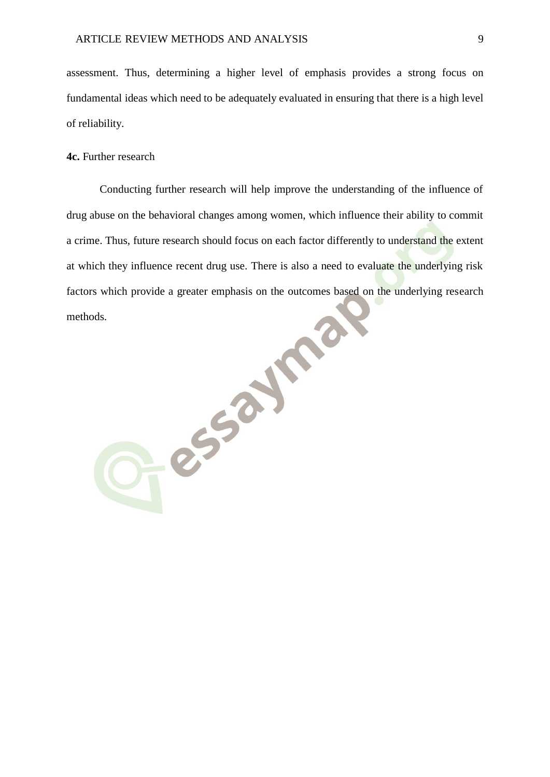assessment. Thus, determining a higher level of emphasis provides a strong focus on fundamental ideas which need to be adequately evaluated in ensuring that there is a high level of reliability.

## **4c.** Further research

Conducting further research will help improve the understanding of the influence of drug abuse on the behavioral changes among women, which influence their ability to commit a crime. Thus, future research should focus on each factor differently to understand the extent at which they influence recent drug use. There is also a need to evaluate the underlying risk factors which provide a greater emphasis on the outcomes based on the underlying research<br>methods. methods.